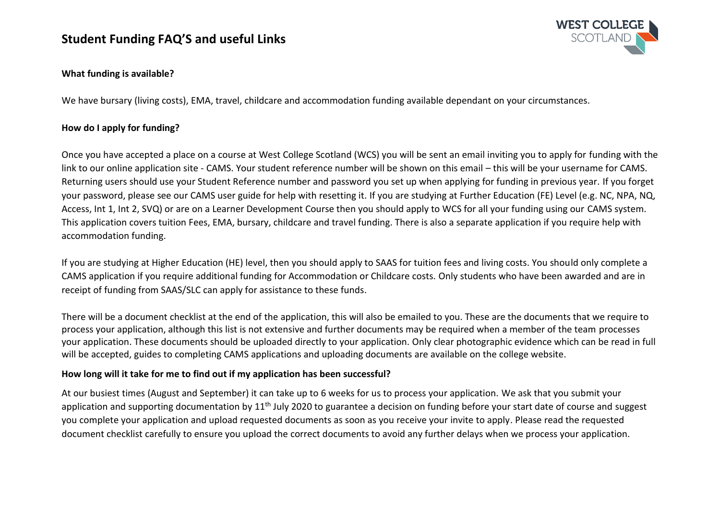

### **What funding is available?**

We have bursary (living costs), EMA, travel, childcare and accommodation funding available dependant on your circumstances.

### **How do I apply for funding?**

Once you have accepted a place on a course at West College Scotland (WCS) you will be sent an email inviting you to apply for funding with the link to our online application site - CAMS. Your student reference number will be shown on this email – this will be your username for CAMS. Returning users should use your Student Reference number and password you set up when applying for funding in previous year. If you forget your password, please see our CAMS user guide for help with resetting it. If you are studying at Further Education (FE) Level (e.g. NC, NPA, NQ, Access, Int 1, Int 2, SVQ) or are on a Learner Development Course then you should apply to WCS for all your funding using our CAMS system. This application covers tuition Fees, EMA, bursary, childcare and travel funding. There is also a separate application if you require help with accommodation funding.

If you are studying at Higher Education (HE) level, then you should apply to SAAS for tuition fees and living costs. You should only complete a CAMS application if you require additional funding for Accommodation or Childcare costs. Only students who have been awarded and are in receipt of funding from SAAS/SLC can apply for assistance to these funds.

There will be a document checklist at the end of the application, this will also be emailed to you. These are the documents that we require to process your application, although this list is not extensive and further documents may be required when a member of the team processes your application. These documents should be uploaded directly to your application. Only clear photographic evidence which can be read in full will be accepted, guides to completing CAMS applications and uploading documents are available on the college website.

### **How long will it take for me to find out if my application has been successful?**

At our busiest times (August and September) it can take up to 6 weeks for us to process your application. We ask that you submit your application and supporting documentation by 11<sup>th</sup> July 2020 to guarantee a decision on funding before your start date of course and suggest you complete your application and upload requested documents as soon as you receive your invite to apply. Please read the requested document checklist carefully to ensure you upload the correct documents to avoid any further delays when we process your application.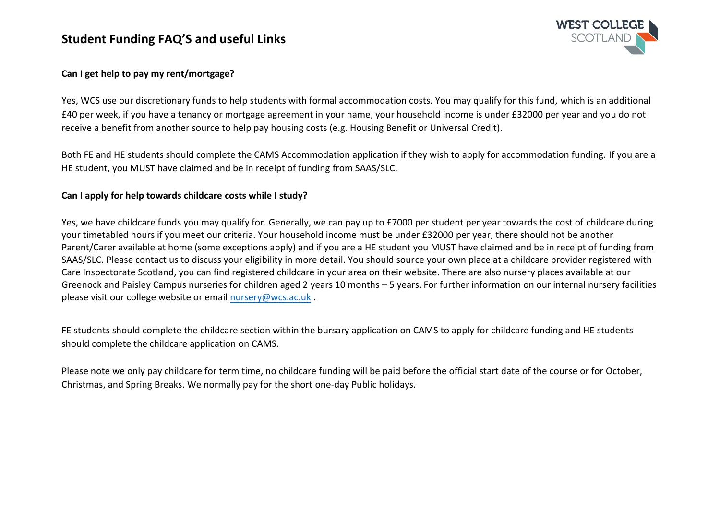

### **Can I get help to pay my rent/mortgage?**

Yes, WCS use our discretionary funds to help students with formal accommodation costs. You may qualify for this fund, which is an additional £40 per week, if you have a tenancy or mortgage agreement in your name, your household income is under £32000 per year and you do not receive a benefit from another source to help pay housing costs (e.g. Housing Benefit or Universal Credit).

Both FE and HE students should complete the CAMS Accommodation application if they wish to apply for accommodation funding. If you are a HE student, you MUST have claimed and be in receipt of funding from SAAS/SLC.

#### **Can I apply for help towards childcare costs while I study?**

Yes, we have childcare funds you may qualify for. Generally, we can pay up to £7000 per student per year towards the cost of childcare during your timetabled hours if you meet our criteria. Your household income must be under £32000 per year, there should not be another Parent/Carer available at home (some exceptions apply) and if you are a HE student you MUST have claimed and be in receipt of funding from SAAS/SLC. Please contact us to discuss your eligibility in more detail. You should source your own place at a childcare provider registered with Care Inspectorate Scotland, you can find registered childcare in your area on their website. There are also nursery places available at our Greenock and Paisley Campus nurseries for children aged 2 years 10 months – 5 years. For further information on our internal nursery facilities please visit our college website or email [nursery@wcs.ac.uk](mailto:nursery@wcs.ac.uk) .

FE students should complete the childcare section within the bursary application on CAMS to apply for childcare funding and HE students should complete the childcare application on CAMS.

Please note we only pay childcare for term time, no childcare funding will be paid before the official start date of the course or for October, Christmas, and Spring Breaks. We normally pay for the short one-day Public holidays.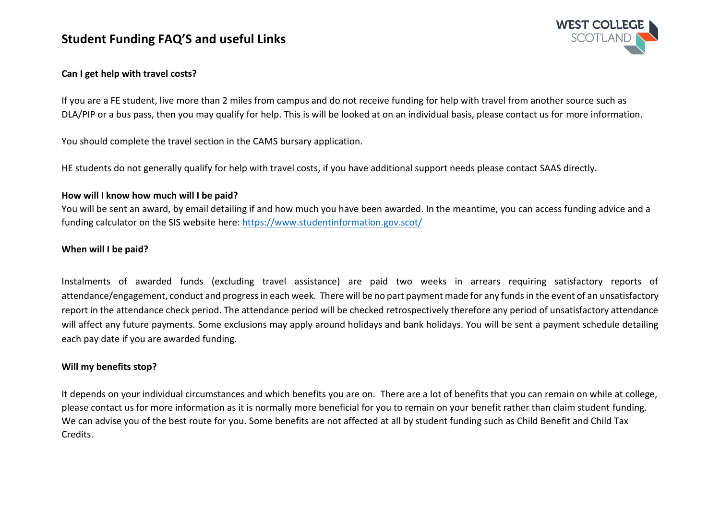

### **Can I get help with travel costs?**

If you are a FE student, live more than 2 miles from campus and do not receive funding for help with travel from another source such as DLA/PIP or a bus pass, then you may qualify for help. This is will be looked at on an individual basis, please contact us for more information.

You should complete the travel section in the CAMS bursary application.

HE students do not generally qualify for help with travel costs, if you have additional support needs please contact SAAS directly.

#### **How will I know how much will I be paid?**

You will be sent an award, by email detailing if and how much you have been awarded. In the meantime, you can access funding advice and a funding calculator on the SIS website here:<https://www.studentinformation.gov.scot/>

### **When will I be paid?**

Instalments of awarded funds (excluding travel assistance) are paid two weeks in arrears requiring satisfactory reports of attendance/engagement, conduct and progress in each week. There will be no part payment made for any funds in the event of an unsatisfactory report in the attendance check period. The attendance period will be checked retrospectively therefore any period of unsatisfactory attendance will affect any future payments. Some exclusions may apply around holidays and bank holidays. You will be sent a payment schedule detailing each pay date if you are awarded funding.

#### **Will my benefits stop?**

It depends on your individual circumstances and which benefits you are on. There are a lot of benefits that you can remain on while at college, please contact us for more information as it is normally more beneficial for you to remain on your benefit rather than claim student funding. We can advise you of the best route for you. Some benefits are not affected at all by student funding such as Child Benefit and Child Tax Credits.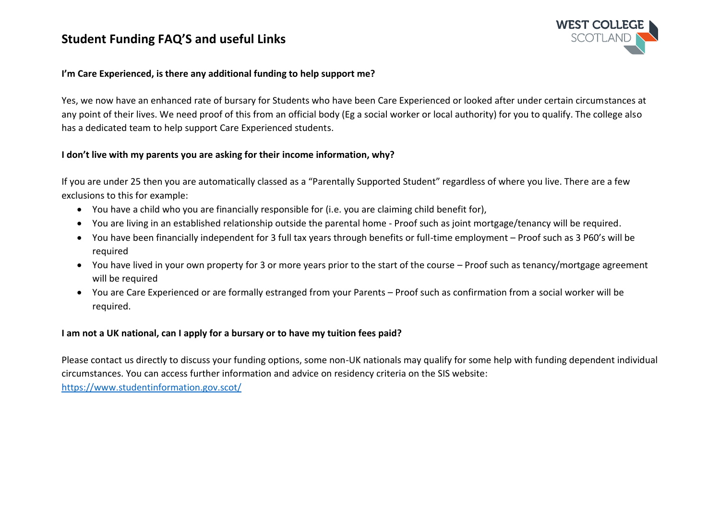

### **I'm Care Experienced, is there any additional funding to help support me?**

Yes, we now have an enhanced rate of bursary for Students who have been Care Experienced or looked after under certain circumstances at any point of their lives. We need proof of this from an official body (Eg a social worker or local authority) for you to qualify. The college also has a dedicated team to help support Care Experienced students.

### **I don't live with my parents you are asking for their income information, why?**

If you are under 25 then you are automatically classed as a "Parentally Supported Student" regardless of where you live. There are a few exclusions to this for example:

- You have a child who you are financially responsible for (i.e. you are claiming child benefit for),
- You are living in an established relationship outside the parental home Proof such as joint mortgage/tenancy will be required.
- You have been financially independent for 3 full tax years through benefits or full-time employment Proof such as 3 P60's will be required
- You have lived in your own property for 3 or more years prior to the start of the course Proof such as tenancy/mortgage agreement will be required
- You are Care Experienced or are formally estranged from your Parents Proof such as confirmation from a social worker will be required.

#### **I am not a UK national, can I apply for a bursary or to have my tuition fees paid?**

Please contact us directly to discuss your funding options, some non-UK nationals may qualify for some help with funding dependent individual circumstances. You can access further information and advice on residency criteria on the SIS website: <https://www.studentinformation.gov.scot/>